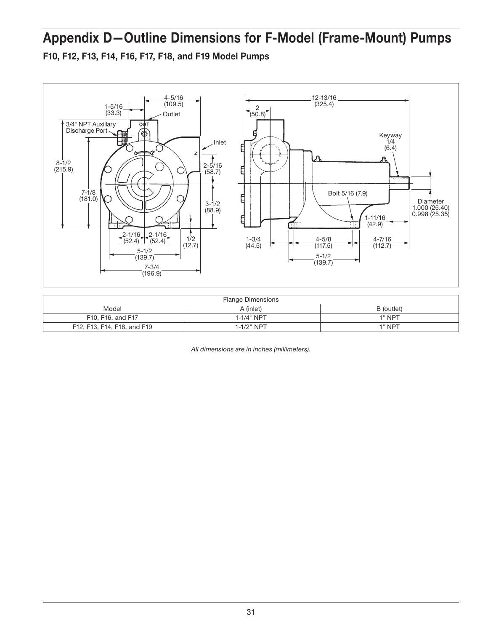## Appendix D—Outline Dimensions for F-Model (Frame-Mount) Pumps

F10, F12, F13, F14, F16, F17, F18, and F19 Model Pumps



| <b>Flange Dimensions</b>    |                 |            |  |  |  |  |  |  |
|-----------------------------|-----------------|------------|--|--|--|--|--|--|
| Model                       | A (inlet)       | B (outlet) |  |  |  |  |  |  |
| F10, F16, and F17           | 1-1/4" NPT      | 1" NPT     |  |  |  |  |  |  |
| F12, F13, F14, F18, and F19 | $1 - 1/2$ " NPT | 1" NPT     |  |  |  |  |  |  |

*All dimensions are in inches (millimeters).*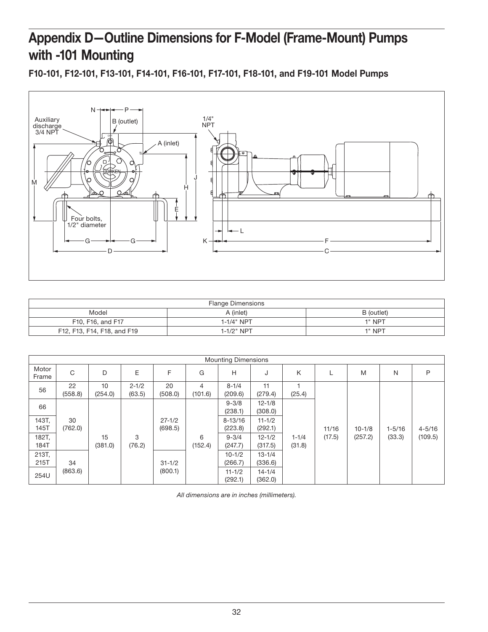## Appendix D—Outline Dimensions for F-Model (Frame-Mount) Pumps with -101 Mounting

F10-101, F12-101, F13-101, F14-101, F16-101, F17-101, F18-101, and F19-101 Model Pumps



| <b>Flange Dimensions</b>    |            |        |  |  |  |  |  |  |
|-----------------------------|------------|--------|--|--|--|--|--|--|
| Model                       | B (outlet) |        |  |  |  |  |  |  |
| F10, F16, and F17           | 1-1/4" NPT | 1" NPT |  |  |  |  |  |  |
| F12, F13, F14, F18, and F19 | 1-1/2" NPT | 1" NPT |  |  |  |  |  |  |

| <b>Mounting Dimensions</b> |               |               |                     |                       |              |                        |                       |                     |        |            |            |            |
|----------------------------|---------------|---------------|---------------------|-----------------------|--------------|------------------------|-----------------------|---------------------|--------|------------|------------|------------|
| Motor<br>Frame             | C             | D             | E                   | F                     | G            | H                      | J                     | K                   |        | M          | N          | P          |
| 56                         | 22<br>(558.8) | 10<br>(254.0) | $2 - 1/2$<br>(63.5) | 20<br>(508.0)         | 4<br>(101.6) | $8 - 1/4$<br>(209.6)   | 11<br>(279.4)         | (25.4)              |        |            |            |            |
| 66                         |               |               |                     |                       |              | $9 - 3/8$<br>(238.1)   | $12 - 1/8$<br>(308.0) |                     |        |            |            |            |
| 143T,<br>145T              | 30<br>(762.0) |               |                     | $27 - 1/2$<br>(698.5) |              | $8 - 13/16$<br>(223.8) | $11 - 1/2$<br>(292.1) |                     | 11/16  | $10 - 1/8$ | $1 - 5/16$ | $4 - 5/16$ |
| 182T,<br>184T              |               | 15<br>(381.0) | 3<br>(76.2)         |                       | 6<br>(152.4) | $9 - 3/4$<br>(247.7)   | $12 - 1/2$<br>(317.5) | $1 - 1/4$<br>(31.8) | (17.5) | (257.2)    | (33.3)     | (109.5)    |
| 213T,<br>215T              | 34            |               |                     | $31 - 1/2$            |              | $10 - 1/2$<br>(266.7)  | $13 - 1/4$<br>(336.6) |                     |        |            |            |            |
| 254U                       | (863.6)       |               |                     | (800.1)               |              | $11 - 1/2$<br>(292.1)  | $14 - 1/4$<br>(362.0) |                     |        |            |            |            |

*All dimensions are in inches (millimeters).*